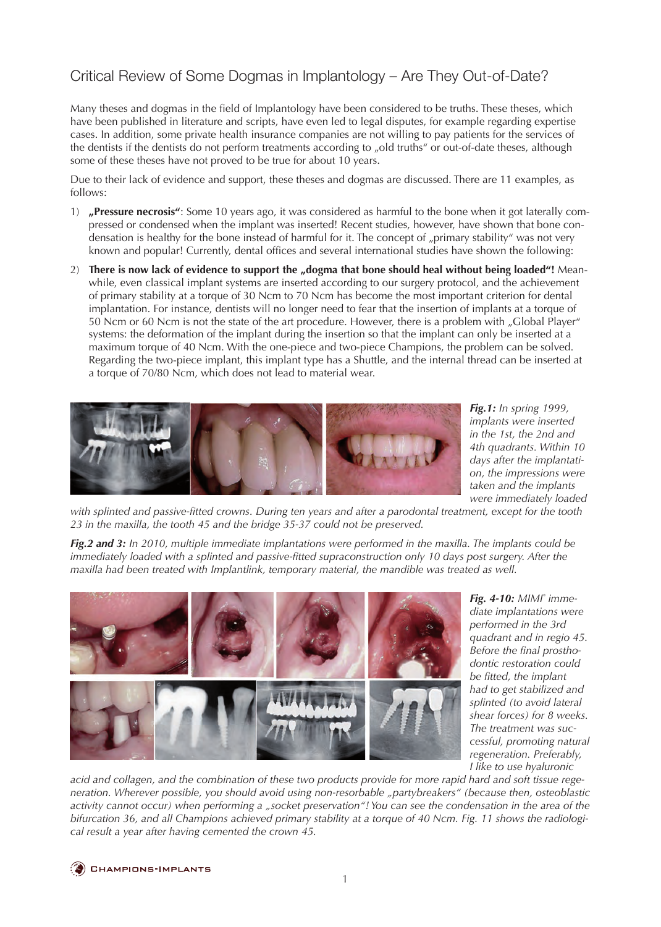## Critical Review of Some Dogmas in Implantology – Are They Out-of-Date?

Many theses and dogmas in the field of Implantology have been considered to be truths. These theses, which have been published in literature and scripts, have even led to legal disputes, for example regarding expertise cases. In addition, some private health insurance companies are not willing to pay patients for the services of the dentists if the dentists do not perform treatments according to "old truths" or out-of-date theses, although some of these theses have not proved to be true for about 10 years.

Due to their lack of evidence and support, these theses and dogmas are discussed. There are 11 examples, as follows:

- 1) **"Pressure necrosis"**: Some 10 years ago, it was considered as harmful to the bone when it got laterally compressed or condensed when the implant was inserted! Recent studies, however, have shown that bone condensation is healthy for the bone instead of harmful for it. The concept of "primary stability" was not very known and popular! Currently, dental offices and several international studies have shown the following:
- 2) There is now lack of evidence to support the "dogma that bone should heal without being loaded"! Meanwhile, even classical implant systems are inserted according to our surgery protocol, and the achievement of primary stability at a torque of 30 Ncm to 70 Ncm has become the most important criterion for dental implantation. For instance, dentists will no longer need to fear that the insertion of implants at a torque of 50 Ncm or 60 Ncm is not the state of the art procedure. However, there is a problem with "Global Player" systems: the deformation of the implant during the insertion so that the implant can only be inserted at a maximum torque of 40 Ncm. With the one-piece and two-piece Champions, the problem can be solved. Regarding the two-piece implant, this implant type has a Shuttle, and the internal thread can be inserted at a torque of 70/80 Ncm, which does not lead to material wear.



*Fig.1: In spring 1999, implants were inserted in the 1st, the 2nd and 4th quadrants. Within 10 days after the implantation, the impressions were taken and the implants were immediately loaded* 

*with splinted and passive-fitted crowns. During ten years and after a parodontal treatment, except for the tooth 23 in the maxilla, the tooth 45 and the bridge 35-37 could not be preserved.*

*Fig.2 and 3: In 2010, multiple immediate implantations were performed in the maxilla. The implants could be*  immediately loaded with a splinted and passive-fitted supraconstruction only 10 days post surgery. After the *maxilla had been treated with Implantlink, temporary material, the mandible was treated as well.*



*Fig. 4-10: MIMI® immediate implantations were performed in the 3rd quadrant and in regio 45. Before the final prosthodontic restoration could be fitted, the implant had to get stabilized and splinted (to avoid lateral shear forces) for 8 weeks. The treatment was successful, promoting natural regeneration. Preferably, I like to use hyaluronic* 

*acid and collagen, and the combination of these two products provide for more rapid hard and soft tissue regeneration. Wherever possible, you should avoid using non-resorbable "partybreakers" (because then, osteoblastic activity cannot occur) when performing a "socket preservation"! You can see the condensation in the area of the bifurcation 36, and all Champions achieved primary stability at a torque of 40 Ncm. Fig. 11 shows the radiological result a year after having cemented the crown 45.*

**CHAMPIONS-IMPLANTS**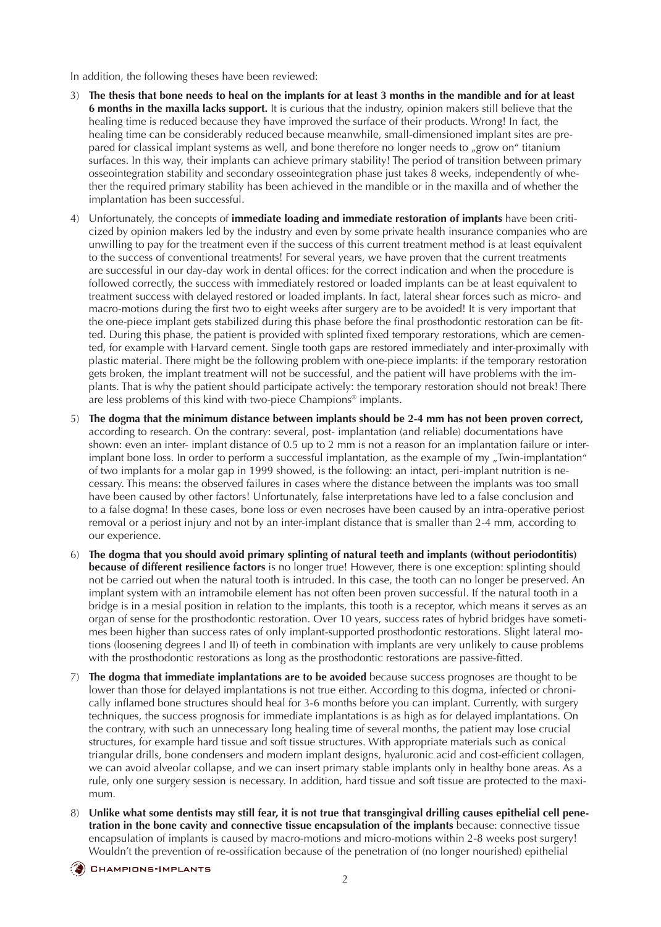In addition, the following theses have been reviewed:

- 3) **The thesis that bone needs to heal on the implants for at least 3 months in the mandible and for at least 6 months in the maxilla lacks support.** It is curious that the industry, opinion makers still believe that the healing time is reduced because they have improved the surface of their products. Wrong! In fact, the healing time can be considerably reduced because meanwhile, small-dimensioned implant sites are prepared for classical implant systems as well, and bone therefore no longer needs to "grow on" titanium surfaces. In this way, their implants can achieve primary stability! The period of transition between primary osseointegration stability and secondary osseointegration phase just takes 8 weeks, independently of whether the required primary stability has been achieved in the mandible or in the maxilla and of whether the implantation has been successful.
- 4) Unfortunately, the concepts of **immediate loading and immediate restoration of implants** have been criticized by opinion makers led by the industry and even by some private health insurance companies who are unwilling to pay for the treatment even if the success of this current treatment method is at least equivalent to the success of conventional treatments! For several years, we have proven that the current treatments are successful in our day-day work in dental offices: for the correct indication and when the procedure is followed correctly, the success with immediately restored or loaded implants can be at least equivalent to treatment success with delayed restored or loaded implants. In fact, lateral shear forces such as micro- and macro-motions during the first two to eight weeks after surgery are to be avoided! It is very important that the one-piece implant gets stabilized during this phase before the final prosthodontic restoration can be fitted. During this phase, the patient is provided with splinted fixed temporary restorations, which are cemented, for example with Harvard cement. Single tooth gaps are restored immediately and inter-proximally with plastic material. There might be the following problem with one-piece implants: if the temporary restoration gets broken, the implant treatment will not be successful, and the patient will have problems with the implants. That is why the patient should participate actively: the temporary restoration should not break! There are less problems of this kind with two-piece Champions® implants.
- 5) **The dogma that the minimum distance between implants should be 2-4 mm has not been proven correct,** according to research. On the contrary: several, post- implantation (and reliable) documentations have shown: even an inter- implant distance of 0.5 up to 2 mm is not a reason for an implantation failure or interimplant bone loss. In order to perform a successful implantation, as the example of my "Twin-implantation" of two implants for a molar gap in 1999 showed, is the following: an intact, peri-implant nutrition is necessary. This means: the observed failures in cases where the distance between the implants was too small have been caused by other factors! Unfortunately, false interpretations have led to a false conclusion and to a false dogma! In these cases, bone loss or even necroses have been caused by an intra-operative periost removal or a periost injury and not by an inter-implant distance that is smaller than 2-4 mm, according to our experience.
- 6) **The dogma that you should avoid primary splinting of natural teeth and implants (without periodontitis) because of different resilience factors** is no longer true! However, there is one exception: splinting should not be carried out when the natural tooth is intruded. In this case, the tooth can no longer be preserved. An implant system with an intramobile element has not often been proven successful. If the natural tooth in a bridge is in a mesial position in relation to the implants, this tooth is a receptor, which means it serves as an organ of sense for the prosthodontic restoration. Over 10 years, success rates of hybrid bridges have sometimes been higher than success rates of only implant-supported prosthodontic restorations. Slight lateral motions (loosening degrees I and II) of teeth in combination with implants are very unlikely to cause problems with the prosthodontic restorations as long as the prosthodontic restorations are passive-fitted.
- 7) **The dogma that immediate implantations are to be avoided** because success prognoses are thought to be lower than those for delayed implantations is not true either. According to this dogma, infected or chronically inflamed bone structures should heal for 3-6 months before you can implant. Currently, with surgery techniques, the success prognosis for immediate implantations is as high as for delayed implantations. On the contrary, with such an unnecessary long healing time of several months, the patient may lose crucial structures, for example hard tissue and soft tissue structures. With appropriate materials such as conical triangular drills, bone condensers and modern implant designs, hyaluronic acid and cost-efficient collagen, we can avoid alveolar collapse, and we can insert primary stable implants only in healthy bone areas. As a rule, only one surgery session is necessary. In addition, hard tissue and soft tissue are protected to the maximum.
- 8) **Unlike what some dentists may still fear, it is not true that transgingival drilling causes epithelial cell penetration in the bone cavity and connective tissue encapsulation of the implants** because: connective tissue encapsulation of implants is caused by macro-motions and micro-motions within 2-8 weeks post surgery! Wouldn't the prevention of re-ossification because of the penetration of (no longer nourished) epithelial

**CHAMPIONS-IMPLANTS**